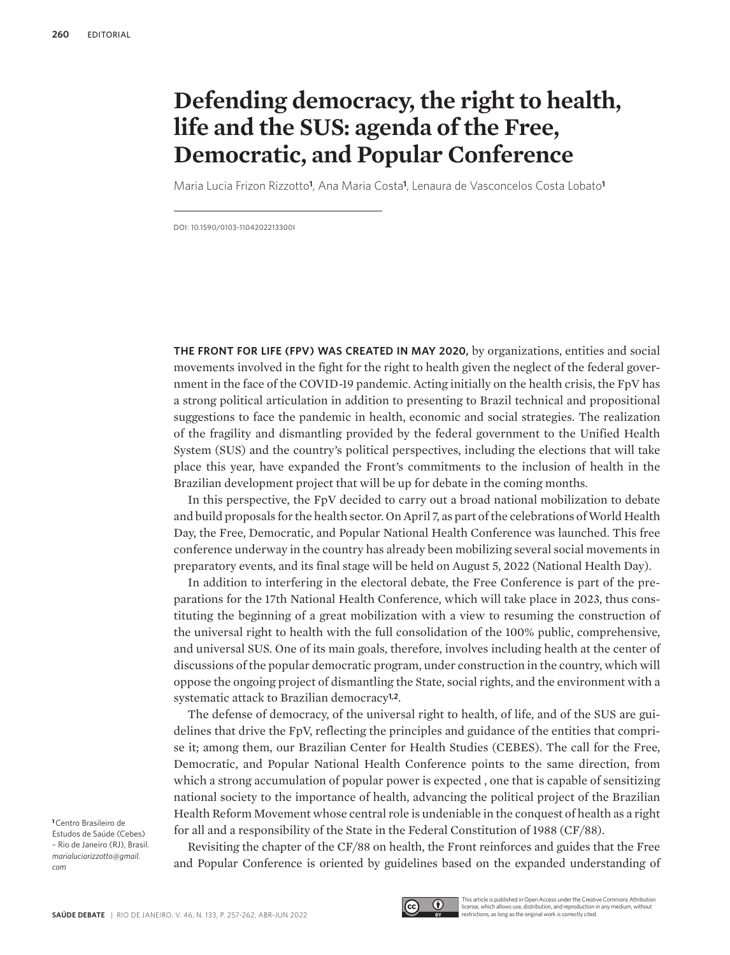## **Defending democracy, the right to health, life and the SUS: agenda of the Free, Democratic, and Popular Conference**

Maria Lucia Frizon Rizzotto**<sup>1</sup>** , Ana Maria Costa**<sup>1</sup>** , Lenaura de Vasconcelos Costa Lobato**<sup>1</sup>**

DOI: 10.1590/0103-1104202213300I

**THE FRONT FOR LIFE (FPV) WAS CREATED IN MAY 2020,** by organizations, entities and social movements involved in the fight for the right to health given the neglect of the federal government in the face of the COVID-19 pandemic. Acting initially on the health crisis, the FpV has a strong political articulation in addition to presenting to Brazil technical and propositional suggestions to face the pandemic in health, economic and social strategies. The realization of the fragility and dismantling provided by the federal government to the Unified Health System (SUS) and the country's political perspectives, including the elections that will take place this year, have expanded the Front's commitments to the inclusion of health in the Brazilian development project that will be up for debate in the coming months.

In this perspective, the FpV decided to carry out a broad national mobilization to debate and build proposals for the health sector. On April 7, as part of the celebrations of World Health Day, the Free, Democratic, and Popular National Health Conference was launched. This free conference underway in the country has already been mobilizing several social movements in preparatory events, and its final stage will be held on August 5, 2022 (National Health Day).

In addition to interfering in the electoral debate, the Free Conference is part of the preparations for the 17th National Health Conference, which will take place in 2023, thus constituting the beginning of a great mobilization with a view to resuming the construction of the universal right to health with the full consolidation of the 100% public, comprehensive, and universal SUS. One of its main goals, therefore, involves including health at the center of discussions of the popular democratic program, under construction in the country, which will oppose the ongoing project of dismantling the State, social rights, and the environment with a systematic attack to Brazilian democracy**1,2**.

The defense of democracy, of the universal right to health, of life, and of the SUS are guidelines that drive the FpV, reflecting the principles and guidance of the entities that comprise it; among them, our Brazilian Center for Health Studies (CEBES). The call for the Free, Democratic, and Popular National Health Conference points to the same direction, from which a strong accumulation of popular power is expected , one that is capable of sensitizing national society to the importance of health, advancing the political project of the Brazilian Health Reform Movement whose central role is undeniable in the conquest of health as a right for all and a responsibility of the State in the Federal Constitution of 1988 (CF/88).

Revisiting the chapter of the CF/88 on health, the Front reinforces and guides that the Free and Popular Conference is oriented by guidelines based on the expanded understanding of

**<sup>1</sup>**Centro Brasileiro de Estudos de Saúde (Cebes) – Rio de Janeiro (RJ), Brasil. *marialuciarizzotto@gmail. com*



This article is published in Open Access under the Creative Commons Attribution license, which allows use, distribution, and reproduction in any medium, without restrictions, as long as the original work is correctly cited.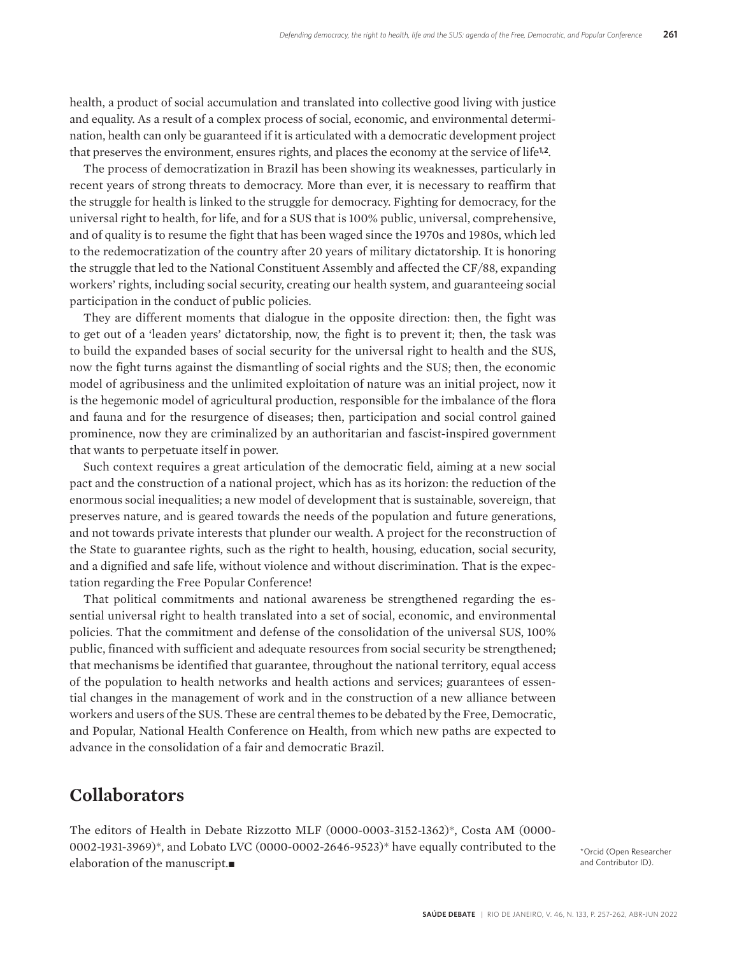health, a product of social accumulation and translated into collective good living with justice and equality. As a result of a complex process of social, economic, and environmental determination, health can only be guaranteed if it is articulated with a democratic development project that preserves the environment, ensures rights, and places the economy at the service of life**1,2**.

The process of democratization in Brazil has been showing its weaknesses, particularly in recent years of strong threats to democracy. More than ever, it is necessary to reaffirm that the struggle for health is linked to the struggle for democracy. Fighting for democracy, for the universal right to health, for life, and for a SUS that is 100% public, universal, comprehensive, and of quality is to resume the fight that has been waged since the 1970s and 1980s, which led to the redemocratization of the country after 20 years of military dictatorship. It is honoring the struggle that led to the National Constituent Assembly and affected the CF/88, expanding workers' rights, including social security, creating our health system, and guaranteeing social participation in the conduct of public policies.

They are different moments that dialogue in the opposite direction: then, the fight was to get out of a 'leaden years' dictatorship, now, the fight is to prevent it; then, the task was to build the expanded bases of social security for the universal right to health and the SUS, now the fight turns against the dismantling of social rights and the SUS; then, the economic model of agribusiness and the unlimited exploitation of nature was an initial project, now it is the hegemonic model of agricultural production, responsible for the imbalance of the flora and fauna and for the resurgence of diseases; then, participation and social control gained prominence, now they are criminalized by an authoritarian and fascist-inspired government that wants to perpetuate itself in power.

Such context requires a great articulation of the democratic field, aiming at a new social pact and the construction of a national project, which has as its horizon: the reduction of the enormous social inequalities; a new model of development that is sustainable, sovereign, that preserves nature, and is geared towards the needs of the population and future generations, and not towards private interests that plunder our wealth. A project for the reconstruction of the State to guarantee rights, such as the right to health, housing, education, social security, and a dignified and safe life, without violence and without discrimination. That is the expectation regarding the Free Popular Conference!

That political commitments and national awareness be strengthened regarding the essential universal right to health translated into a set of social, economic, and environmental policies. That the commitment and defense of the consolidation of the universal SUS, 100% public, financed with sufficient and adequate resources from social security be strengthened; that mechanisms be identified that guarantee, throughout the national territory, equal access of the population to health networks and health actions and services; guarantees of essential changes in the management of work and in the construction of a new alliance between workers and users of the SUS. These are central themes to be debated by the Free, Democratic, and Popular, National Health Conference on Health, from which new paths are expected to advance in the consolidation of a fair and democratic Brazil.

## **Collaborators**

The editors of Health in Debate Rizzotto MLF (0000-0003-3152-1362)\*, Costa AM (0000- 0002-1931-3969)\*, and Lobato LVC (0000-0002-2646-9523)\* have equally contributed to the elaboration of the manuscript. $\blacksquare$ 

\*Orcid (Open Researcher and Contributor ID).